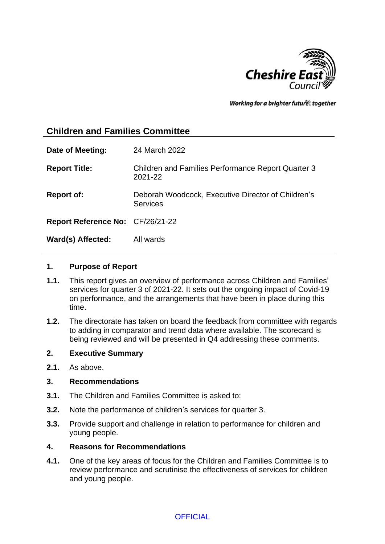

Working for a brighter future together

# **Children and Families Committee**

| Date of Meeting:                        | 24 March 2022                                                        |
|-----------------------------------------|----------------------------------------------------------------------|
| <b>Report Title:</b>                    | <b>Children and Families Performance Report Quarter 3</b><br>2021-22 |
| <b>Report of:</b>                       | Deborah Woodcock, Executive Director of Children's<br>Services       |
| <b>Report Reference No: CF/26/21-22</b> |                                                                      |
| Ward(s) Affected:                       | All wards                                                            |

#### **1. Purpose of Report**

- **1.1.** This report gives an overview of performance across Children and Families' services for quarter 3 of 2021-22. It sets out the ongoing impact of Covid-19 on performance, and the arrangements that have been in place during this time.
- **1.2.** The directorate has taken on board the feedback from committee with regards to adding in comparator and trend data where available. The scorecard is being reviewed and will be presented in Q4 addressing these comments.

#### **2. Executive Summary**

**2.1.** As above.

#### **3. Recommendations**

- **3.1.** The Children and Families Committee is asked to:
- **3.2.** Note the performance of children's services for quarter 3.
- **3.3.** Provide support and challenge in relation to performance for children and young people.

#### **4. Reasons for Recommendations**

**4.1.** One of the key areas of focus for the Children and Families Committee is to review performance and scrutinise the effectiveness of services for children and young people.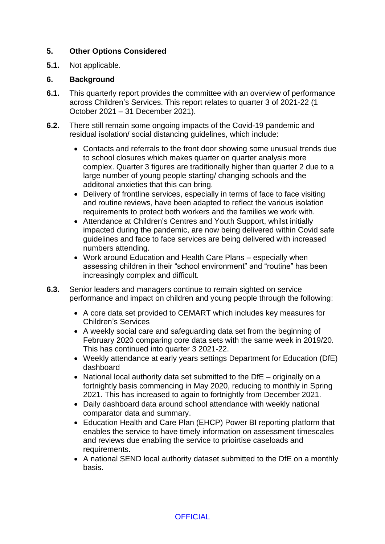## **5. Other Options Considered**

**5.1.** Not applicable.

### **6. Background**

- **6.1.** This quarterly report provides the committee with an overview of performance across Children's Services. This report relates to quarter 3 of 2021-22 (1 October 2021 – 31 December 2021).
- **6.2.** There still remain some ongoing impacts of the Covid-19 pandemic and residual isolation/ social distancing guidelines, which include:
	- Contacts and referrals to the front door showing some unusual trends due to school closures which makes quarter on quarter analysis more complex. Quarter 3 figures are traditionally higher than quarter 2 due to a large number of young people starting/ changing schools and the additonal anxieties that this can bring.
	- Delivery of frontline services, especially in terms of face to face visiting and routine reviews, have been adapted to reflect the various isolation requirements to protect both workers and the families we work with.
	- Attendance at Children's Centres and Youth Support, whilst initially impacted during the pandemic, are now being delivered within Covid safe guidelines and face to face services are being delivered with increased numbers attending.
	- Work around Education and Health Care Plans especially when assessing children in their "school environment" and "routine" has been increasingly complex and difficult.
- **6.3.** Senior leaders and managers continue to remain sighted on service performance and impact on children and young people through the following:
	- A core data set provided to CEMART which includes key measures for Children's Services
	- A weekly social care and safeguarding data set from the beginning of February 2020 comparing core data sets with the same week in 2019/20. This has continued into quarter 3 2021-22.
	- Weekly attendance at early years settings Department for Education (DfE) dashboard
	- National local authority data set submitted to the DfE originally on a fortnightly basis commencing in May 2020, reducing to monthly in Spring 2021. This has increased to again to fortnightly from December 2021.
	- Daily dashboard data around school attendance with weekly national comparator data and summary.
	- Education Health and Care Plan (EHCP) Power BI reporting platform that enables the service to have timely information on assessment timescales and reviews due enabling the service to prioirtise caseloads and requirements.
	- A national SEND local authority dataset submitted to the DfE on a monthly basis.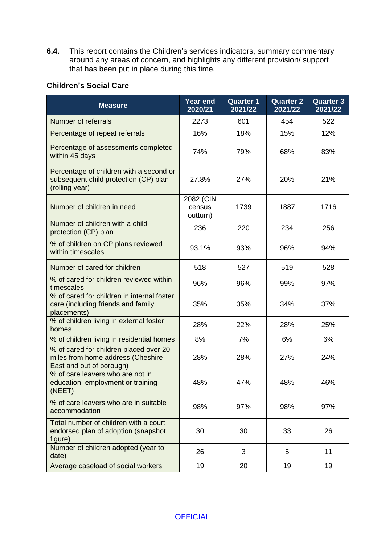**6.4.** This report contains the Children's services indicators, summary commentary around any areas of concern, and highlights any different provision/ support that has been put in place during this time.

## **Children's Social Care**

| <b>Measure</b>                                                                                          | <b>Year end</b><br>2020/21      | <b>Quarter 1</b><br>2021/22 | <b>Quarter 2</b><br>2021/22 | <b>Quarter 3</b><br>2021/22 |
|---------------------------------------------------------------------------------------------------------|---------------------------------|-----------------------------|-----------------------------|-----------------------------|
| Number of referrals                                                                                     | 2273                            | 601                         | 454                         | 522                         |
| Percentage of repeat referrals                                                                          | 16%                             | 18%                         | 15%                         | 12%                         |
| Percentage of assessments completed<br>within 45 days                                                   | 74%                             | 79%                         | 68%                         | 83%                         |
| Percentage of children with a second or<br>subsequent child protection (CP) plan<br>(rolling year)      | 27.8%                           | 27%                         | 20%                         | 21%                         |
| Number of children in need                                                                              | 2082 (CIN<br>census<br>outturn) | 1739                        | 1887                        | 1716                        |
| Number of children with a child<br>protection (CP) plan                                                 | 236                             | 220                         | 234                         | 256                         |
| % of children on CP plans reviewed<br>within timescales                                                 | 93.1%                           | 93%                         | 96%                         | 94%                         |
| Number of cared for children                                                                            | 518                             | 527                         | 519                         | 528                         |
| % of cared for children reviewed within<br>timescales                                                   | 96%                             | 96%                         | 99%                         | 97%                         |
| % of cared for children in internal foster<br>care (including friends and family<br>placements)         | 35%                             | 35%                         | 34%                         | 37%                         |
| % of children living in external foster<br>homes                                                        | 28%                             | 22%                         | 28%                         | 25%                         |
| % of children living in residential homes                                                               | 8%                              | 7%                          | 6%                          | 6%                          |
| % of cared for children placed over 20<br>miles from home address (Cheshire<br>East and out of borough) | 28%                             | 28%                         | 27%                         | 24%                         |
| % of care leavers who are not in<br>education, employment or training<br>(NEET)                         | 48%                             | 47%                         | 48%                         | 46%                         |
| % of care leavers who are in suitable<br>accommodation                                                  | 98%                             | 97%                         | 98%                         | 97%                         |
| Total number of children with a court<br>endorsed plan of adoption (snapshot<br>figure)                 | 30                              | 30                          | 33                          | 26                          |
| Number of children adopted (year to<br>date)                                                            | 26                              | 3                           | 5                           | 11                          |
| Average caseload of social workers                                                                      | 19                              | 20                          | 19                          | 19                          |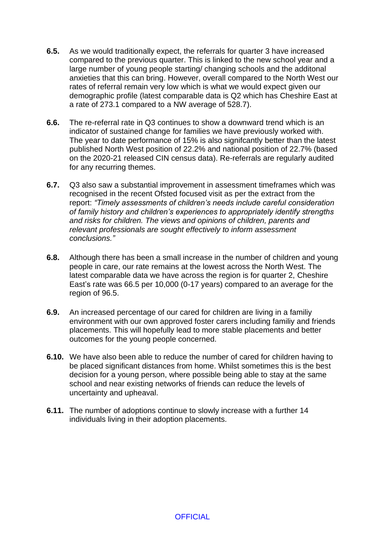- **6.5.** As we would traditionally expect, the referrals for quarter 3 have increased compared to the previous quarter. This is linked to the new school year and a large number of young people starting/ changing schools and the additonal anxieties that this can bring. However, overall compared to the North West our rates of referral remain very low which is what we would expect given our demographic profile (latest comparable data is Q2 which has Cheshire East at a rate of 273.1 compared to a NW average of 528.7).
- **6.6.** The re-referral rate in Q3 continues to show a downward trend which is an indicator of sustained change for families we have previously worked with. The year to date performance of 15% is also signifcantly better than the latest published North West position of 22.2% and national position of 22.7% (based on the 2020-21 released CIN census data). Re-referrals are regularly audited for any recurring themes.
- **6.7.** Q3 also saw a substantial improvement in assessment timeframes which was recognised in the recent Ofsted focused visit as per the extract from the report: *"Timely assessments of children's needs include careful consideration of family history and children's experiences to appropriately identify strengths and risks for children. The views and opinions of children, parents and relevant professionals are sought effectively to inform assessment conclusions."*
- **6.8.** Although there has been a small increase in the number of children and young people in care, our rate remains at the lowest across the North West. The latest comparable data we have across the region is for quarter 2, Cheshire East's rate was 66.5 per 10,000 (0-17 years) compared to an average for the region of 96.5.
- **6.9.** An increased percentage of our cared for children are living in a familiy environment with our own approved foster carers including familiy and friends placements. This will hopefully lead to more stable placements and better outcomes for the young people concerned.
- **6.10.** We have also been able to reduce the number of cared for children having to be placed significant distances from home. Whilst sometimes this is the best decision for a young person, where possible being able to stay at the same school and near existing networks of friends can reduce the levels of uncertainty and upheaval.
- **6.11.** The number of adoptions continue to slowly increase with a further 14 individuals living in their adoption placements.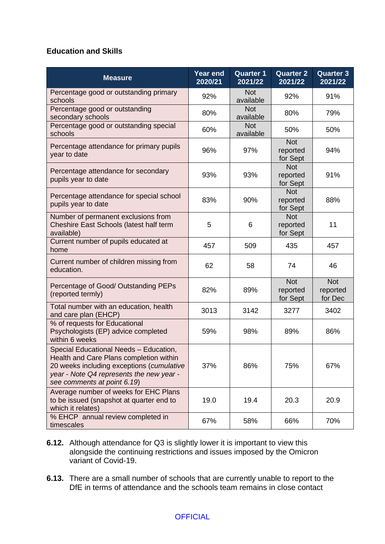### **Education and Skills**

| <b>Measure</b>                                                                                                                                                                                            | <b>Year end</b><br>2020/21 | <b>Quarter 1</b><br>2021/22 | <b>Quarter 2</b><br>2021/22        | <b>Quarter 3</b><br>2021/22       |
|-----------------------------------------------------------------------------------------------------------------------------------------------------------------------------------------------------------|----------------------------|-----------------------------|------------------------------------|-----------------------------------|
| Percentage good or outstanding primary<br>schools                                                                                                                                                         | 92%                        | <b>Not</b><br>available     | 92%                                | 91%                               |
| Percentage good or outstanding<br>secondary schools                                                                                                                                                       | 80%                        | <b>Not</b><br>available     | 80%                                | 79%                               |
| Percentage good or outstanding special<br>schools                                                                                                                                                         | 60%                        | <b>Not</b><br>available     | 50%                                | 50%                               |
| Percentage attendance for primary pupils<br>year to date                                                                                                                                                  | 96%                        | 97%                         | <b>Not</b><br>reported<br>for Sept | 94%                               |
| Percentage attendance for secondary<br>pupils year to date                                                                                                                                                | 93%                        | 93%                         | <b>Not</b><br>reported<br>for Sept | 91%                               |
| Percentage attendance for special school<br>pupils year to date                                                                                                                                           | 83%                        | 90%                         | <b>Not</b><br>reported<br>for Sept | 88%                               |
| Number of permanent exclusions from<br>Cheshire East Schools (latest half term<br>available)                                                                                                              | 5                          | 6                           | <b>Not</b><br>reported<br>for Sept | 11                                |
| Current number of pupils educated at<br>home                                                                                                                                                              | 457                        | 509                         | 435                                | 457                               |
| Current number of children missing from<br>education.                                                                                                                                                     | 62                         | 58                          | 74                                 | 46                                |
| Percentage of Good/ Outstanding PEPs<br>(reported termly)                                                                                                                                                 | 82%                        | 89%                         | <b>Not</b><br>reported<br>for Sept | <b>Not</b><br>reported<br>for Dec |
| Total number with an education, health<br>and care plan (EHCP)                                                                                                                                            | 3013                       | 3142                        | 3277                               | 3402                              |
| % of requests for Educational<br>Psychologists (EP) advice completed<br>within 6 weeks                                                                                                                    | 59%                        | 98%                         | 89%                                | 86%                               |
| Special Educational Needs - Education,<br>Health and Care Plans completion within<br>20 weeks including exceptions (cumulative<br>year - Note Q4 represents the new year -<br>see comments at point 6.19) | 37%                        | 86%                         | 75%                                | 67%                               |
| Average number of weeks for EHC Plans<br>to be issued (snapshot at quarter end to<br>which it relates)                                                                                                    | 19.0                       | 19.4                        | 20.3                               | 20.9                              |
| % EHCP annual review completed in<br>timescales                                                                                                                                                           | 67%                        | 58%                         | 66%                                | 70%                               |

- **6.12.** Although attendance for Q3 is slightly lower it is important to view this alongside the continuing restrictions and issues imposed by the Omicron variant of Covid-19.
- **6.13.** There are a small number of schools that are currently unable to report to the DfE in terms of attendance and the schools team remains in close contact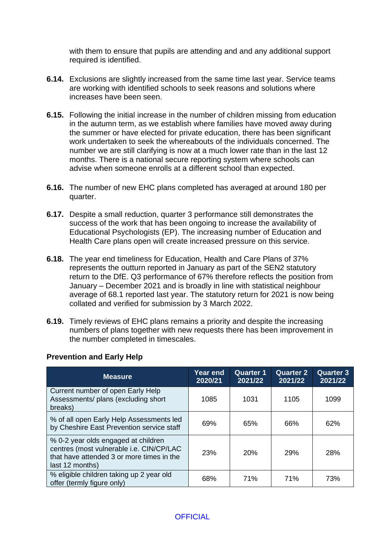with them to ensure that pupils are attending and and any additional support required is identified.

- **6.14.** Exclusions are slightly increased from the same time last year. Service teams are working with identified schools to seek reasons and solutions where increases have been seen.
- **6.15.** Following the initial increase in the number of children missing from education in the autumn term, as we establish where families have moved away during the summer or have elected for private education, there has been significant work undertaken to seek the whereabouts of the individuals concerned. The number we are still clarifying is now at a much lower rate than in the last 12 months. There is a national secure reporting system where schools can advise when someone enrolls at a different school than expected.
- **6.16.** The number of new EHC plans completed has averaged at around 180 per quarter.
- **6.17.** Despite a small reduction, quarter 3 performance still demonstrates the success of the work that has been ongoing to increase the availability of Educational Psychologists (EP). The increasing number of Education and Health Care plans open will create increased pressure on this service.
- **6.18.** The year end timeliness for Education, Health and Care Plans of 37% represents the outturn reported in January as part of the SEN2 statutory return to the DfE. Q3 performance of 67% therefore reflects the position from January – December 2021 and is broadly in line with statistical neighbour average of 68.1 reported last year. The statutory return for 2021 is now being collated and verified for submission by 3 March 2022.
- **6.19.** Timely reviews of EHC plans remains a priority and despite the increasing numbers of plans together with new requests there has been improvement in the number completed in timescales.

#### **Prevention and Early Help**

| <b>Measure</b>                                                                                                                                  | <b>Year end</b><br>2020/21 | <b>Quarter 1</b><br>2021/22 | <b>Quarter 2</b><br>2021/22 | <b>Quarter 3</b><br>2021/22 |
|-------------------------------------------------------------------------------------------------------------------------------------------------|----------------------------|-----------------------------|-----------------------------|-----------------------------|
| Current number of open Early Help<br>Assessments/ plans (excluding short<br>breaks)                                                             | 1085                       | 1031                        | 1105                        | 1099                        |
| % of all open Early Help Assessments led<br>by Cheshire East Prevention service staff                                                           | 69%                        | 65%                         | 66%                         | 62%                         |
| % 0-2 year olds engaged at children<br>centres (most vulnerable i.e. CIN/CP/LAC<br>that have attended 3 or more times in the<br>last 12 months) | <b>23%</b>                 | 20%                         | <b>29%</b>                  | 28%                         |
| % eligible children taking up 2 year old<br>offer (termly figure only)                                                                          | 68%                        | 71%                         | 71%                         | 73%                         |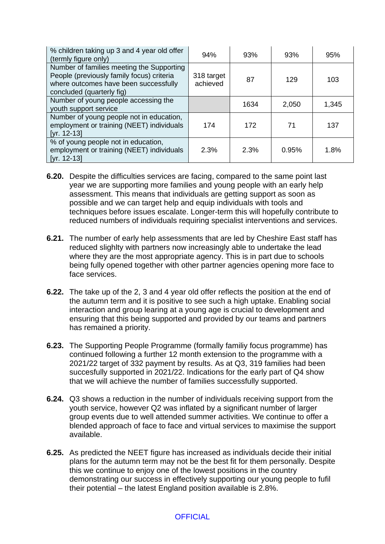| % children taking up 3 and 4 year old offer<br>(termly figure only)                                                                                          | 94%                    | 93%  | 93%   | 95%   |
|--------------------------------------------------------------------------------------------------------------------------------------------------------------|------------------------|------|-------|-------|
| Number of families meeting the Supporting<br>People (previously family focus) criteria<br>where outcomes have been successfully<br>concluded (quarterly fig) | 318 target<br>achieved | 87   | 129   | 103   |
| Number of young people accessing the<br>youth support service                                                                                                |                        | 1634 | 2,050 | 1,345 |
| Number of young people not in education,<br>employment or training (NEET) individuals<br>$[yr. 12-13]$                                                       | 174                    | 172  | 71    | 137   |
| % of young people not in education,<br>employment or training (NEET) individuals<br>$[yr. 12-13]$                                                            | 2.3%                   | 2.3% | 0.95% | 1.8%  |

- **6.20.** Despite the difficulties services are facing, compared to the same point last year we are supporting more families and young people with an early help assessment. This means that individuals are getting support as soon as possible and we can target help and equip individuals with tools and techniques before issues escalate. Longer-term this will hopefully contribute to reduced numbers of individuals requiring specialist interventions and services.
- **6.21.** The number of early help assessments that are led by Cheshire East staff has reduced slighlty with partners now increasingly able to undertake the lead where they are the most appropriate agency. This is in part due to schools being fully opened together with other partner agencies opening more face to face services.
- **6.22.** The take up of the 2, 3 and 4 year old offer reflects the position at the end of the autumn term and it is positive to see such a high uptake. Enabling social interaction and group learing at a young age is crucial to development and ensuring that this being supported and provided by our teams and partners has remained a priority.
- **6.23.** The Supporting People Programme (formally familiy focus programme) has continued following a further 12 month extension to the programme with a 2021/22 target of 332 payment by results. As at Q3, 319 families had been succesfully supported in 2021/22. Indications for the early part of Q4 show that we will achieve the number of families successfully supported.
- **6.24.** Q3 shows a reduction in the number of individuals receiving support from the youth service, however Q2 was inflated by a significant number of larger group events due to well attended summer activities. We continue to offer a blended approach of face to face and virtual services to maximise the support available.
- **6.25.** As predicted the NEET figure has increased as individuals decide their initial plans for the autumn term may not be the best fit for them personally. Despite this we continue to enjoy one of the lowest positions in the country demonstrating our success in effectively supporting our young people to fufil their potential – the latest England position available is 2.8%.